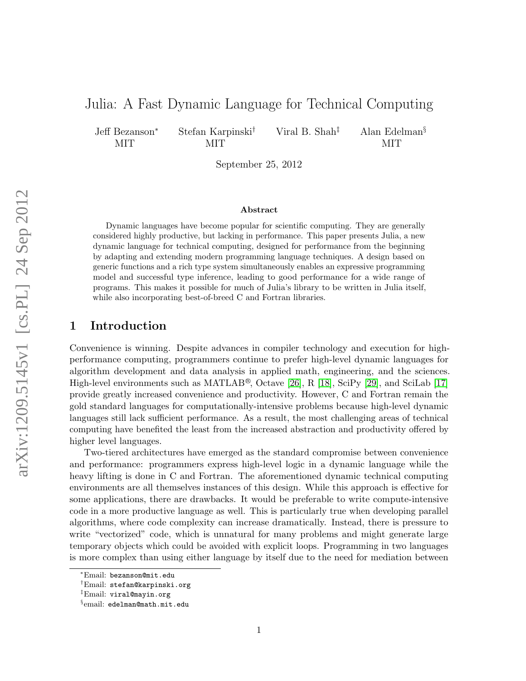# Julia: A Fast Dynamic Language for Technical Computing

Jeff Bezanson<sup>∗</sup> MIT

Stefan Karpinski† MIT

Viral B. Shah‡ Alan Edelman§ MIT

September 25, 2012

#### Abstract

Dynamic languages have become popular for scientific computing. They are generally considered highly productive, but lacking in performance. This paper presents Julia, a new dynamic language for technical computing, designed for performance from the beginning by adapting and extending modern programming language techniques. A design based on generic functions and a rich type system simultaneously enables an expressive programming model and successful type inference, leading to good performance for a wide range of programs. This makes it possible for much of Julia's library to be written in Julia itself, while also incorporating best-of-breed C and Fortran libraries.

# 1 Introduction

Convenience is winning. Despite advances in compiler technology and execution for highperformance computing, programmers continue to prefer high-level dynamic languages for algorithm development and data analysis in applied math, engineering, and the sciences. High-level environments such as MATLAB®, Octave [\[26\]](#page-26-0), R [\[18\]](#page-25-0), SciPy [\[29\]](#page-26-1), and SciLab [\[17\]](#page-25-1) provide greatly increased convenience and productivity. However, C and Fortran remain the gold standard languages for computationally-intensive problems because high-level dynamic languages still lack sufficient performance. As a result, the most challenging areas of technical computing have benefited the least from the increased abstraction and productivity offered by higher level languages.

Two-tiered architectures have emerged as the standard compromise between convenience and performance: programmers express high-level logic in a dynamic language while the heavy lifting is done in C and Fortran. The aforementioned dynamic technical computing environments are all themselves instances of this design. While this approach is effective for some applications, there are drawbacks. It would be preferable to write compute-intensive code in a more productive language as well. This is particularly true when developing parallel algorithms, where code complexity can increase dramatically. Instead, there is pressure to write "vectorized" code, which is unnatural for many problems and might generate large temporary objects which could be avoided with explicit loops. Programming in two languages is more complex than using either language by itself due to the need for mediation between

<sup>∗</sup>Email: bezanson@mit.edu

<sup>†</sup>Email: stefan@karpinski.org

<sup>‡</sup>Email: viral@mayin.org

<sup>§</sup> email: edelman@math.mit.edu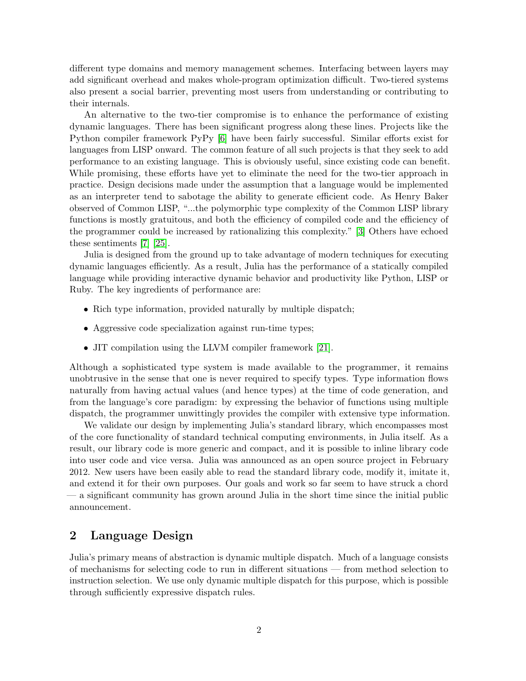different type domains and memory management schemes. Interfacing between layers may add significant overhead and makes whole-program optimization difficult. Two-tiered systems also present a social barrier, preventing most users from understanding or contributing to their internals.

An alternative to the two-tier compromise is to enhance the performance of existing dynamic languages. There has been significant progress along these lines. Projects like the Python compiler framework PyPy [\[6\]](#page-24-0) have been fairly successful. Similar efforts exist for languages from LISP onward. The common feature of all such projects is that they seek to add performance to an existing language. This is obviously useful, since existing code can benefit. While promising, these efforts have yet to eliminate the need for the two-tier approach in practice. Design decisions made under the assumption that a language would be implemented as an interpreter tend to sabotage the ability to generate efficient code. As Henry Baker observed of Common LISP, "...the polymorphic type complexity of the Common LISP library functions is mostly gratuitous, and both the efficiency of compiled code and the efficiency of the programmer could be increased by rationalizing this complexity." [\[3\]](#page-24-1) Others have echoed these sentiments [\[7\]](#page-24-2) [\[25\]](#page-26-2).

Julia is designed from the ground up to take advantage of modern techniques for executing dynamic languages efficiently. As a result, Julia has the performance of a statically compiled language while providing interactive dynamic behavior and productivity like Python, LISP or Ruby. The key ingredients of performance are:

- Rich type information, provided naturally by multiple dispatch;
- Aggressive code specialization against run-time types;
- JIT compilation using the LLVM compiler framework [\[21\]](#page-25-2).

Although a sophisticated type system is made available to the programmer, it remains unobtrusive in the sense that one is never required to specify types. Type information flows naturally from having actual values (and hence types) at the time of code generation, and from the language's core paradigm: by expressing the behavior of functions using multiple dispatch, the programmer unwittingly provides the compiler with extensive type information.

We validate our design by implementing Julia's standard library, which encompasses most of the core functionality of standard technical computing environments, in Julia itself. As a result, our library code is more generic and compact, and it is possible to inline library code into user code and vice versa. Julia was announced as an open source project in February 2012. New users have been easily able to read the standard library code, modify it, imitate it, and extend it for their own purposes. Our goals and work so far seem to have struck a chord — a significant community has grown around Julia in the short time since the initial public announcement.

# 2 Language Design

Julia's primary means of abstraction is dynamic multiple dispatch. Much of a language consists of mechanisms for selecting code to run in different situations — from method selection to instruction selection. We use only dynamic multiple dispatch for this purpose, which is possible through sufficiently expressive dispatch rules.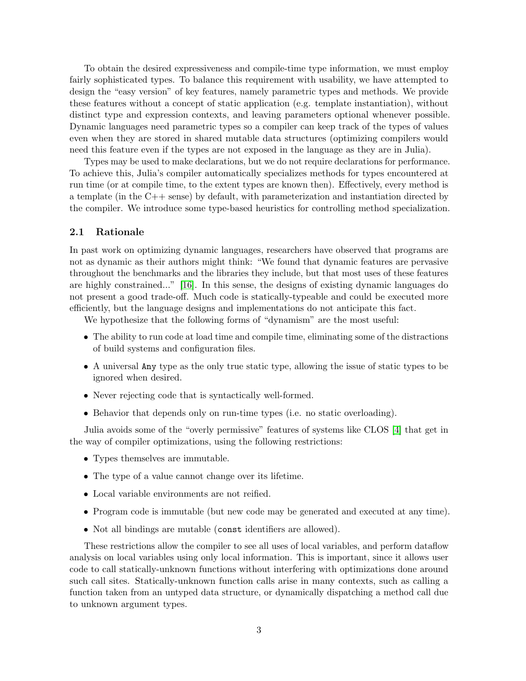To obtain the desired expressiveness and compile-time type information, we must employ fairly sophisticated types. To balance this requirement with usability, we have attempted to design the "easy version" of key features, namely parametric types and methods. We provide these features without a concept of static application (e.g. template instantiation), without distinct type and expression contexts, and leaving parameters optional whenever possible. Dynamic languages need parametric types so a compiler can keep track of the types of values even when they are stored in shared mutable data structures (optimizing compilers would need this feature even if the types are not exposed in the language as they are in Julia).

Types may be used to make declarations, but we do not require declarations for performance. To achieve this, Julia's compiler automatically specializes methods for types encountered at run time (or at compile time, to the extent types are known then). Effectively, every method is a template (in the  $C++$  sense) by default, with parameterization and instantiation directed by the compiler. We introduce some type-based heuristics for controlling method specialization.

#### 2.1 Rationale

In past work on optimizing dynamic languages, researchers have observed that programs are not as dynamic as their authors might think: "We found that dynamic features are pervasive throughout the benchmarks and the libraries they include, but that most uses of these features are highly constrained..." [\[16\]](#page-25-3). In this sense, the designs of existing dynamic languages do not present a good trade-off. Much code is statically-typeable and could be executed more efficiently, but the language designs and implementations do not anticipate this fact.

We hypothesize that the following forms of "dynamism" are the most useful:

- The ability to run code at load time and compile time, eliminating some of the distractions of build systems and configuration files.
- A universal Any type as the only true static type, allowing the issue of static types to be ignored when desired.
- Never rejecting code that is syntactically well-formed.
- Behavior that depends only on run-time types (i.e. no static overloading).

Julia avoids some of the "overly permissive" features of systems like CLOS [\[4\]](#page-24-3) that get in the way of compiler optimizations, using the following restrictions:

- Types themselves are immutable.
- The type of a value cannot change over its lifetime.
- Local variable environments are not reified.
- Program code is immutable (but new code may be generated and executed at any time).
- Not all bindings are mutable (const identifiers are allowed).

These restrictions allow the compiler to see all uses of local variables, and perform dataflow analysis on local variables using only local information. This is important, since it allows user code to call statically-unknown functions without interfering with optimizations done around such call sites. Statically-unknown function calls arise in many contexts, such as calling a function taken from an untyped data structure, or dynamically dispatching a method call due to unknown argument types.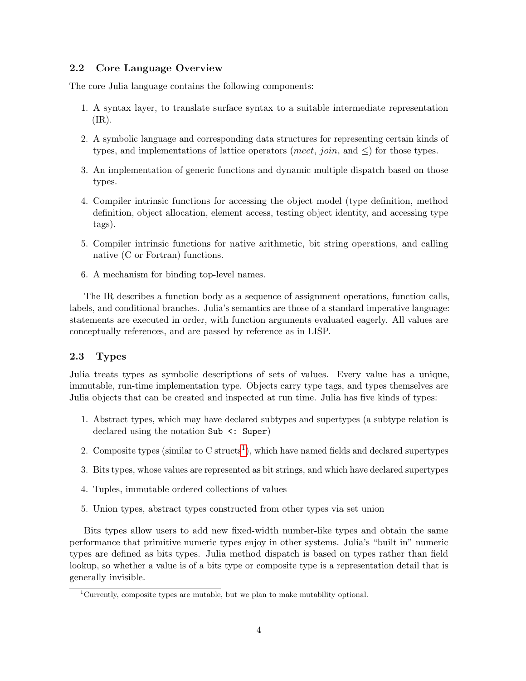## 2.2 Core Language Overview

The core Julia language contains the following components:

- 1. A syntax layer, to translate surface syntax to a suitable intermediate representation (IR).
- 2. A symbolic language and corresponding data structures for representing certain kinds of types, and implementations of lattice operators (meet, join, and  $\leq$ ) for those types.
- 3. An implementation of generic functions and dynamic multiple dispatch based on those types.
- 4. Compiler intrinsic functions for accessing the object model (type definition, method definition, object allocation, element access, testing object identity, and accessing type tags).
- 5. Compiler intrinsic functions for native arithmetic, bit string operations, and calling native (C or Fortran) functions.
- 6. A mechanism for binding top-level names.

The IR describes a function body as a sequence of assignment operations, function calls, labels, and conditional branches. Julia's semantics are those of a standard imperative language: statements are executed in order, with function arguments evaluated eagerly. All values are conceptually references, and are passed by reference as in LISP.

### 2.3 Types

Julia treats types as symbolic descriptions of sets of values. Every value has a unique, immutable, run-time implementation type. Objects carry type tags, and types themselves are Julia objects that can be created and inspected at run time. Julia has five kinds of types:

- 1. Abstract types, which may have declared subtypes and supertypes (a subtype relation is declared using the notation Sub <: Super)
- 2. Composite types (similar to  $C$  structs<sup>[1](#page-3-0)</sup>), which have named fields and declared supertypes
- 3. Bits types, whose values are represented as bit strings, and which have declared supertypes
- 4. Tuples, immutable ordered collections of values
- 5. Union types, abstract types constructed from other types via set union

Bits types allow users to add new fixed-width number-like types and obtain the same performance that primitive numeric types enjoy in other systems. Julia's "built in" numeric types are defined as bits types. Julia method dispatch is based on types rather than field lookup, so whether a value is of a bits type or composite type is a representation detail that is generally invisible.

<span id="page-3-0"></span><sup>&</sup>lt;sup>1</sup>Currently, composite types are mutable, but we plan to make mutability optional.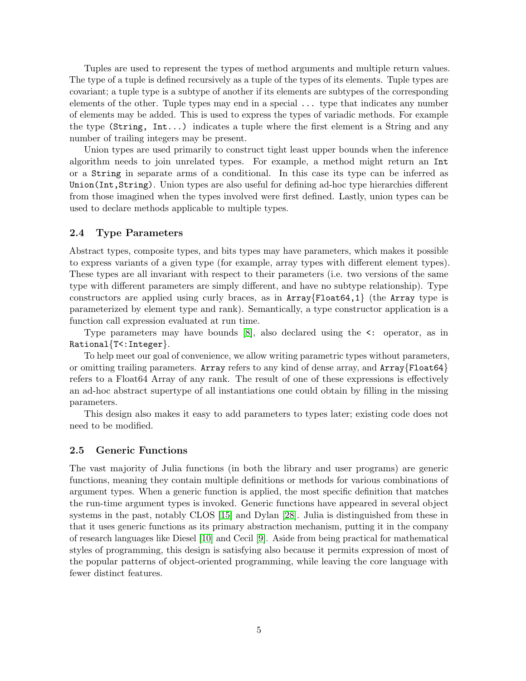Tuples are used to represent the types of method arguments and multiple return values. The type of a tuple is defined recursively as a tuple of the types of its elements. Tuple types are covariant; a tuple type is a subtype of another if its elements are subtypes of the corresponding elements of the other. Tuple types may end in a special ... type that indicates any number of elements may be added. This is used to express the types of variadic methods. For example the type (String, Int...) indicates a tuple where the first element is a String and any number of trailing integers may be present.

Union types are used primarily to construct tight least upper bounds when the inference algorithm needs to join unrelated types. For example, a method might return an Int or a String in separate arms of a conditional. In this case its type can be inferred as Union(Int,String). Union types are also useful for defining ad-hoc type hierarchies different from those imagined when the types involved were first defined. Lastly, union types can be used to declare methods applicable to multiple types.

#### 2.4 Type Parameters

Abstract types, composite types, and bits types may have parameters, which makes it possible to express variants of a given type (for example, array types with different element types). These types are all invariant with respect to their parameters (i.e. two versions of the same type with different parameters are simply different, and have no subtype relationship). Type constructors are applied using curly braces, as in  $Array{Fload64,1}$  (the Array type is parameterized by element type and rank). Semantically, a type constructor application is a function call expression evaluated at run time.

Type parameters may have bounds [\[8\]](#page-24-4), also declared using the <: operator, as in Rational{T<:Integer}.

To help meet our goal of convenience, we allow writing parametric types without parameters, or omitting trailing parameters. Array refers to any kind of dense array, and Array{Float64} refers to a Float64 Array of any rank. The result of one of these expressions is effectively an ad-hoc abstract supertype of all instantiations one could obtain by filling in the missing parameters.

This design also makes it easy to add parameters to types later; existing code does not need to be modified.

## 2.5 Generic Functions

The vast majority of Julia functions (in both the library and user programs) are generic functions, meaning they contain multiple definitions or methods for various combinations of argument types. When a generic function is applied, the most specific definition that matches the run-time argument types is invoked. Generic functions have appeared in several object systems in the past, notably CLOS [\[15\]](#page-25-4) and Dylan [\[28\]](#page-26-3). Julia is distinguished from these in that it uses generic functions as its primary abstraction mechanism, putting it in the company of research languages like Diesel [\[10\]](#page-25-5) and Cecil [\[9\]](#page-25-6). Aside from being practical for mathematical styles of programming, this design is satisfying also because it permits expression of most of the popular patterns of object-oriented programming, while leaving the core language with fewer distinct features.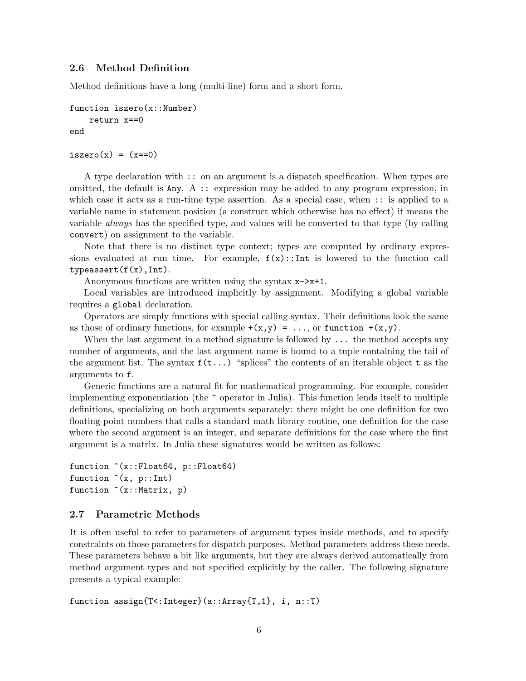#### 2.6 Method Definition

Method definitions have a long (multi-line) form and a short form.

```
function iszero(x::Number)
    return x==0
end
```

```
iszero(x) = (x == 0)
```
A type declaration with :: on an argument is a dispatch specification. When types are omitted, the default is  $\text{Any. A}$ : expression may be added to any program expression, in which case it acts as a run-time type assertion. As a special case, when :: is applied to a variable name in statement position (a construct which otherwise has no effect) it means the variable always has the specified type, and values will be converted to that type (by calling convert) on assignment to the variable.

Note that there is no distinct type context; types are computed by ordinary expressions evaluated at run time. For example,  $f(x):$ Int is lowered to the function call  $typeassert(f(x),Int)$ .

Anonymous functions are written using the syntax  $x\rightarrow x+1$ .

Local variables are introduced implicitly by assignment. Modifying a global variable requires a global declaration.

Operators are simply functions with special calling syntax. Their definitions look the same as those of ordinary functions, for example  $+(x,y) = ...$ , or function  $+(x,y)$ .

When the last argument in a method signature is followed by  $\dots$  the method accepts any number of arguments, and the last argument name is bound to a tuple containing the tail of the argument list. The syntax  $f(t...)$  "splices" the contents of an iterable object t as the arguments to f.

Generic functions are a natural fit for mathematical programming. For example, consider implementing exponentiation (the ^ operator in Julia). This function lends itself to multiple definitions, specializing on both arguments separately: there might be one definition for two floating-point numbers that calls a standard math library routine, one definition for the case where the second argument is an integer, and separate definitions for the case where the first argument is a matrix. In Julia these signatures would be written as follows:

```
function ^(x::Float64, p::Float64)
function (x, p::Int)function \hat{c}(x): Matrix, p)
```
#### 2.7 Parametric Methods

It is often useful to refer to parameters of argument types inside methods, and to specify constraints on those parameters for dispatch purposes. Method parameters address these needs. These parameters behave a bit like arguments, but they are always derived automatically from method argument types and not specified explicitly by the caller. The following signature presents a typical example:

function assign{T<:Integer}(a::Array{T,1}, i, n::T)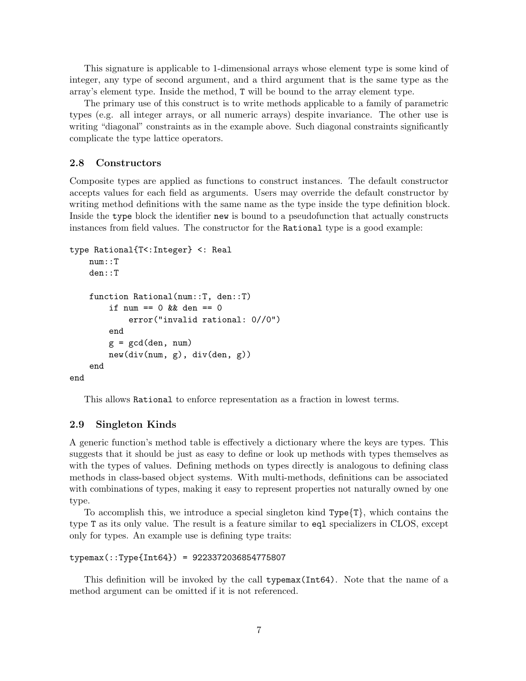This signature is applicable to 1-dimensional arrays whose element type is some kind of integer, any type of second argument, and a third argument that is the same type as the array's element type. Inside the method, T will be bound to the array element type.

The primary use of this construct is to write methods applicable to a family of parametric types (e.g. all integer arrays, or all numeric arrays) despite invariance. The other use is writing "diagonal" constraints as in the example above. Such diagonal constraints significantly complicate the type lattice operators.

#### 2.8 Constructors

Composite types are applied as functions to construct instances. The default constructor accepts values for each field as arguments. Users may override the default constructor by writing method definitions with the same name as the type inside the type definition block. Inside the type block the identifier new is bound to a pseudofunction that actually constructs instances from field values. The constructor for the Rational type is a good example:

```
type Rational{T<:Integer} <: Real
    num::T
    den::T
    function Rational(num::T, den::T)
         if num == 0 && den == 0error("invalid rational: 0//0")
         end
         g = \text{gcd}(\text{den}, \text{num})new(div(num, g), div(den, g))
    end
end
```
This allows Rational to enforce representation as a fraction in lowest terms.

#### 2.9 Singleton Kinds

A generic function's method table is effectively a dictionary where the keys are types. This suggests that it should be just as easy to define or look up methods with types themselves as with the types of values. Defining methods on types directly is analogous to defining class methods in class-based object systems. With multi-methods, definitions can be associated with combinations of types, making it easy to represent properties not naturally owned by one type.

To accomplish this, we introduce a special singleton kind  $Type\{T\}$ , which contains the type T as its only value. The result is a feature similar to eql specializers in CLOS, except only for types. An example use is defining type traits:

```
typemax(::Type{Int64}) = 9223372036854775807
```
This definition will be invoked by the call typemax(Int64). Note that the name of a method argument can be omitted if it is not referenced.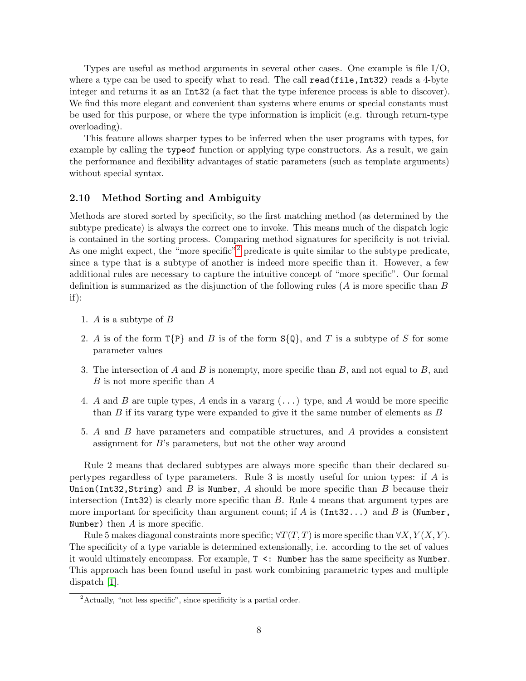Types are useful as method arguments in several other cases. One example is file I/O, where a type can be used to specify what to read. The call read(file,Int32) reads a 4-byte integer and returns it as an Int32 (a fact that the type inference process is able to discover). We find this more elegant and convenient than systems where enums or special constants must be used for this purpose, or where the type information is implicit (e.g. through return-type overloading).

This feature allows sharper types to be inferred when the user programs with types, for example by calling the typeof function or applying type constructors. As a result, we gain the performance and flexibility advantages of static parameters (such as template arguments) without special syntax.

#### 2.10 Method Sorting and Ambiguity

Methods are stored sorted by specificity, so the first matching method (as determined by the subtype predicate) is always the correct one to invoke. This means much of the dispatch logic is contained in the sorting process. Comparing method signatures for specificity is not trivial. As one might expect, the "more specific"<sup>[2](#page-7-0)</sup> predicate is quite similar to the subtype predicate, since a type that is a subtype of another is indeed more specific than it. However, a few additional rules are necessary to capture the intuitive concept of "more specific". Our formal definition is summarized as the disjunction of the following rules  $(A \text{ is more specific than } B)$ if):

- 1. A is a subtype of B
- 2. A is of the form  $T{P}$  and B is of the form  $S{Q}$ , and T is a subtype of S for some parameter values
- 3. The intersection of A and B is nonempty, more specific than  $B$ , and not equal to  $B$ , and B is not more specific than A
- 4. A and B are tuple types, A ends in a vararg  $(\ldots)$  type, and A would be more specific than  $B$  if its vararg type were expanded to give it the same number of elements as  $B$
- 5. A and B have parameters and compatible structures, and A provides a consistent assignment for B's parameters, but not the other way around

Rule 2 means that declared subtypes are always more specific than their declared supertypes regardless of type parameters. Rule 3 is mostly useful for union types: if A is Union(Int32, String) and B is Number, A should be more specific than B because their intersection  $(int32)$  is clearly more specific than B. Rule 4 means that argument types are more important for specificity than argument count; if A is (Int32...) and B is (Number, Number) then  $A$  is more specific.

Rule 5 makes diagonal constraints more specific;  $\forall T(T, T)$  is more specific than  $\forall X, Y(X, Y)$ . The specificity of a type variable is determined extensionally, i.e. according to the set of values it would ultimately encompass. For example, T <: Number has the same specificity as Number. This approach has been found useful in past work combining parametric types and multiple dispatch [\[1\]](#page-24-5).

<span id="page-7-0"></span><sup>2</sup>Actually, "not less specific", since specificity is a partial order.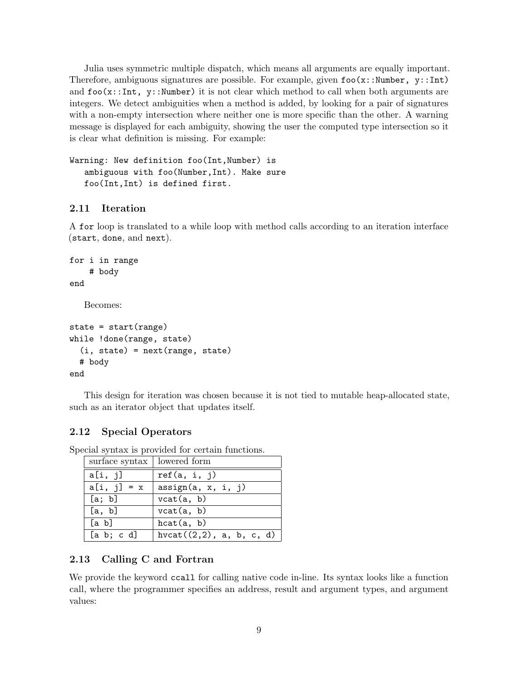Julia uses symmetric multiple dispatch, which means all arguments are equally important. Therefore, ambiguous signatures are possible. For example, given  $\texttt{foo}(x::Number, y::Int)$ and  $\texttt{foo}(x::Int, y::Number)$  it is not clear which method to call when both arguments are integers. We detect ambiguities when a method is added, by looking for a pair of signatures with a non-empty intersection where neither one is more specific than the other. A warning message is displayed for each ambiguity, showing the user the computed type intersection so it is clear what definition is missing. For example:

Warning: New definition foo(Int,Number) is ambiguous with foo(Number,Int). Make sure foo(Int,Int) is defined first.

# 2.11 Iteration

A for loop is translated to a while loop with method calls according to an iteration interface (start, done, and next).

```
for i in range
    # body
end
   Becomes:
state = start(range)
while !done(range, state)
```

```
(i, state) = next(range, state)
  # body
end
```
This design for iteration was chosen because it is not tied to mutable heap-allocated state, such as an iterator object that updates itself.

## 2.12 Special Operators

| surface syntax   lowered form |                             |
|-------------------------------|-----------------------------|
| a[i, j]                       | ref(a, i, j)                |
| $a[i, j] = x$                 | assign(a, x, i, j)          |
| [a; b]                        | vcat(a, b)                  |
| [a, b]                        | vcat(a, b)                  |
| [a b]                         | hcat(a, b)                  |
| [a b; c d]                    | hvcat $((2,2), a, b, c, d)$ |

Special syntax is provided for certain functions.

## 2.13 Calling C and Fortran

We provide the keyword ccall for calling native code in-line. Its syntax looks like a function call, where the programmer specifies an address, result and argument types, and argument values: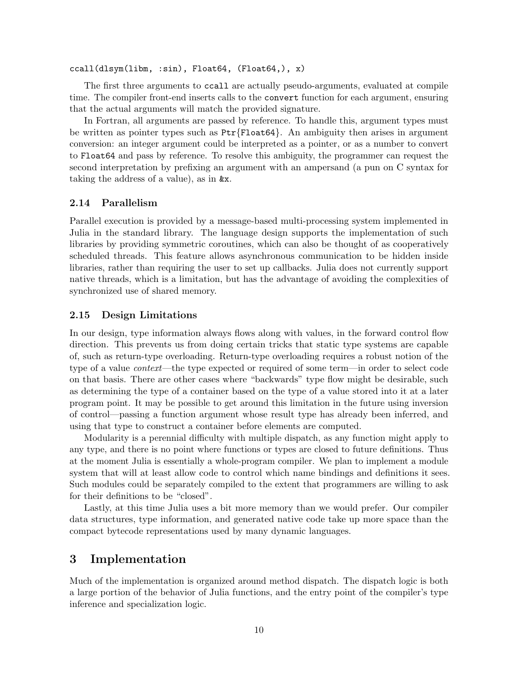ccall(dlsym(libm, :sin), Float64, (Float64,), x)

The first three arguments to ccall are actually pseudo-arguments, evaluated at compile time. The compiler front-end inserts calls to the convert function for each argument, ensuring that the actual arguments will match the provided signature.

In Fortran, all arguments are passed by reference. To handle this, argument types must be written as pointer types such as  $Ptr\{Fload64\}$ . An ambiguity then arises in argument conversion: an integer argument could be interpreted as a pointer, or as a number to convert to Float64 and pass by reference. To resolve this ambiguity, the programmer can request the second interpretation by prefixing an argument with an ampersand (a pun on C syntax for taking the address of a value), as in &x.

## 2.14 Parallelism

Parallel execution is provided by a message-based multi-processing system implemented in Julia in the standard library. The language design supports the implementation of such libraries by providing symmetric coroutines, which can also be thought of as cooperatively scheduled threads. This feature allows asynchronous communication to be hidden inside libraries, rather than requiring the user to set up callbacks. Julia does not currently support native threads, which is a limitation, but has the advantage of avoiding the complexities of synchronized use of shared memory.

#### 2.15 Design Limitations

In our design, type information always flows along with values, in the forward control flow direction. This prevents us from doing certain tricks that static type systems are capable of, such as return-type overloading. Return-type overloading requires a robust notion of the type of a value context—the type expected or required of some term—in order to select code on that basis. There are other cases where "backwards" type flow might be desirable, such as determining the type of a container based on the type of a value stored into it at a later program point. It may be possible to get around this limitation in the future using inversion of control—passing a function argument whose result type has already been inferred, and using that type to construct a container before elements are computed.

Modularity is a perennial difficulty with multiple dispatch, as any function might apply to any type, and there is no point where functions or types are closed to future definitions. Thus at the moment Julia is essentially a whole-program compiler. We plan to implement a module system that will at least allow code to control which name bindings and definitions it sees. Such modules could be separately compiled to the extent that programmers are willing to ask for their definitions to be "closed".

Lastly, at this time Julia uses a bit more memory than we would prefer. Our compiler data structures, type information, and generated native code take up more space than the compact bytecode representations used by many dynamic languages.

# 3 Implementation

Much of the implementation is organized around method dispatch. The dispatch logic is both a large portion of the behavior of Julia functions, and the entry point of the compiler's type inference and specialization logic.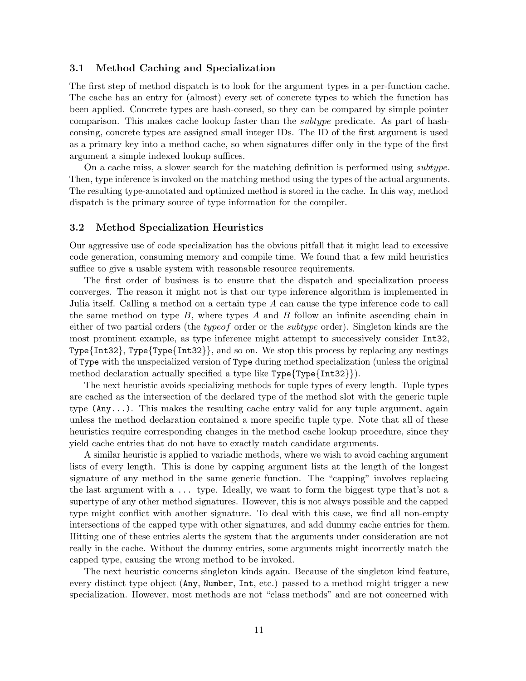### 3.1 Method Caching and Specialization

The first step of method dispatch is to look for the argument types in a per-function cache. The cache has an entry for (almost) every set of concrete types to which the function has been applied. Concrete types are hash-consed, so they can be compared by simple pointer comparison. This makes cache lookup faster than the *subtype* predicate. As part of hashconsing, concrete types are assigned small integer IDs. The ID of the first argument is used as a primary key into a method cache, so when signatures differ only in the type of the first argument a simple indexed lookup suffices.

On a cache miss, a slower search for the matching definition is performed using *subtype*. Then, type inference is invoked on the matching method using the types of the actual arguments. The resulting type-annotated and optimized method is stored in the cache. In this way, method dispatch is the primary source of type information for the compiler.

#### 3.2 Method Specialization Heuristics

Our aggressive use of code specialization has the obvious pitfall that it might lead to excessive code generation, consuming memory and compile time. We found that a few mild heuristics suffice to give a usable system with reasonable resource requirements.

The first order of business is to ensure that the dispatch and specialization process converges. The reason it might not is that our type inference algorithm is implemented in Julia itself. Calling a method on a certain type  $A$  can cause the type inference code to call the same method on type  $B$ , where types  $A$  and  $B$  follow an infinite ascending chain in either of two partial orders (the typeof order or the subtype order). Singleton kinds are the most prominent example, as type inference might attempt to successively consider Int32, Type{Int32}, Type{Type{Int32}}, and so on. We stop this process by replacing any nestings of Type with the unspecialized version of Type during method specialization (unless the original method declaration actually specified a type like Type{Type{Int32}}).

The next heuristic avoids specializing methods for tuple types of every length. Tuple types are cached as the intersection of the declared type of the method slot with the generic tuple type  $(\text{Any} \dots)$ . This makes the resulting cache entry valid for any tuple argument, again unless the method declaration contained a more specific tuple type. Note that all of these heuristics require corresponding changes in the method cache lookup procedure, since they yield cache entries that do not have to exactly match candidate arguments.

A similar heuristic is applied to variadic methods, where we wish to avoid caching argument lists of every length. This is done by capping argument lists at the length of the longest signature of any method in the same generic function. The "capping" involves replacing the last argument with a ... type. Ideally, we want to form the biggest type that's not a supertype of any other method signatures. However, this is not always possible and the capped type might conflict with another signature. To deal with this case, we find all non-empty intersections of the capped type with other signatures, and add dummy cache entries for them. Hitting one of these entries alerts the system that the arguments under consideration are not really in the cache. Without the dummy entries, some arguments might incorrectly match the capped type, causing the wrong method to be invoked.

The next heuristic concerns singleton kinds again. Because of the singleton kind feature, every distinct type object (Any, Number, Int, etc.) passed to a method might trigger a new specialization. However, most methods are not "class methods" and are not concerned with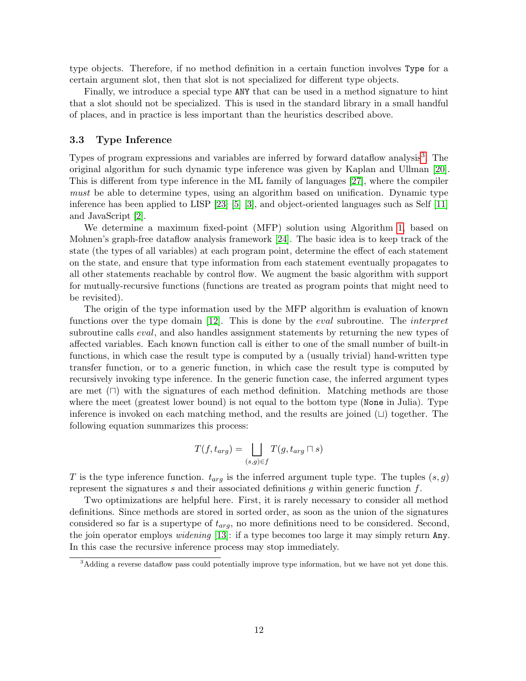type objects. Therefore, if no method definition in a certain function involves Type for a certain argument slot, then that slot is not specialized for different type objects.

Finally, we introduce a special type ANY that can be used in a method signature to hint that a slot should not be specialized. This is used in the standard library in a small handful of places, and in practice is less important than the heuristics described above.

#### 3.3 Type Inference

Types of program expressions and variables are inferred by forward dataflow analysis<sup>[3](#page-11-0)</sup>. The original algorithm for such dynamic type inference was given by Kaplan and Ullman [\[20\]](#page-25-7). This is different from type inference in the ML family of languages [\[27\]](#page-26-4), where the compiler must be able to determine types, using an algorithm based on unification. Dynamic type inference has been applied to LISP [\[23\]](#page-26-5) [\[5\]](#page-24-6) [\[3\]](#page-24-1), and object-oriented languages such as Self [\[11\]](#page-25-8) and JavaScript [\[2\]](#page-24-7).

We determine a maximum fixed-point (MFP) solution using Algorithm [1,](#page-12-0) based on Mohnen's graph-free dataflow analysis framework [\[24\]](#page-26-6). The basic idea is to keep track of the state (the types of all variables) at each program point, determine the effect of each statement on the state, and ensure that type information from each statement eventually propagates to all other statements reachable by control flow. We augment the basic algorithm with support for mutually-recursive functions (functions are treated as program points that might need to be revisited).

The origin of the type information used by the MFP algorithm is evaluation of known functions over the type domain [\[12\]](#page-25-9). This is done by the *eval* subroutine. The *interpret* subroutine calls *eval*, and also handles assignment statements by returning the new types of affected variables. Each known function call is either to one of the small number of built-in functions, in which case the result type is computed by a (usually trivial) hand-written type transfer function, or to a generic function, in which case the result type is computed by recursively invoking type inference. In the generic function case, the inferred argument types are met  $(\Box)$  with the signatures of each method definition. Matching methods are those where the meet (greatest lower bound) is not equal to the bottom type (None in Julia). Type inference is invoked on each matching method, and the results are joined  $(\sqcup)$  together. The following equation summarizes this process:

$$
T(f,t_{arg}) = \bigsqcup_{(s,g)\in f} T(g,t_{arg}\sqcap s)
$$

T is the type inference function.  $t_{arg}$  is the inferred argument tuple type. The tuples  $(s, g)$ represent the signatures s and their associated definitions q within generic function  $f$ .

Two optimizations are helpful here. First, it is rarely necessary to consider all method definitions. Since methods are stored in sorted order, as soon as the union of the signatures considered so far is a supertype of  $t_{arg}$ , no more definitions need to be considered. Second, the join operator employs *widening* [\[13\]](#page-25-10): if a type becomes too large it may simply return Any. In this case the recursive inference process may stop immediately.

<span id="page-11-0"></span><sup>&</sup>lt;sup>3</sup>Adding a reverse dataflow pass could potentially improve type information, but we have not yet done this.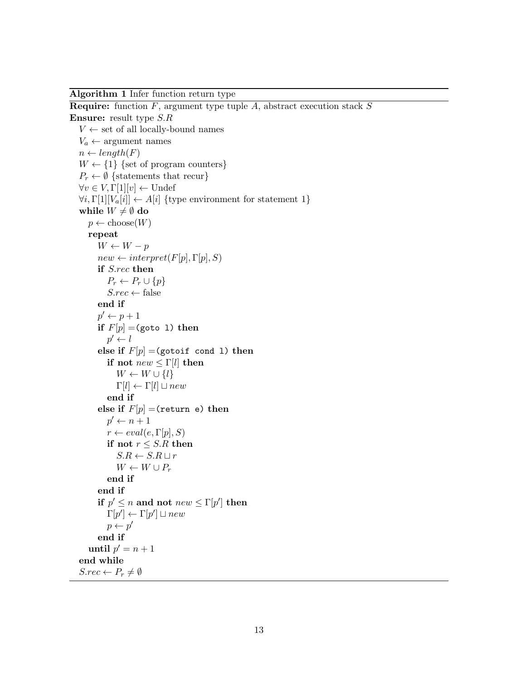<span id="page-12-0"></span>Algorithm 1 Infer function return type

```
Require: function F, argument type tuple A, abstract execution stack SEnsure: result type S.R
   V \leftarrow set of all locally-bound names
   V_a \leftarrow argument names
   n \leftarrow length(F)W \leftarrow \{1\} {set of program counters}
   P_r \leftarrow \emptyset {statements that recur}
   \forall v \in V, \Gamma[1][v] \leftarrow \text{Under}\forall i, \Gamma[1][V_a[i]] \leftarrow A[i] {type environment for statement 1}
   while W \neq \emptyset do
      p \leftarrow \text{choose}(W)repeat
         W \leftarrow W - pnew \leftarrow interpret(F[p], \Gamma[p], S)if S.rec then
            P_r \leftarrow P_r \cup \{p\}S.rec \leftarrow falseend if
         p' \leftarrow p + 1if F[p] = (goto 1) then
            p' \leftarrow lelse if F[p] = (qotoint cond 1) then
            if not new \leq \Gamma[l] then
               W \leftarrow W \cup \{l\}\Gamma[l] \leftarrow \Gamma[l] \sqcup newend if
         else if F[p] =(return e) then
            p' \leftarrow n + 1r \leftarrow eval(e, \Gamma[p], S)if not r \leq S.R then
               S.R \leftarrow S.R \sqcup rW \leftarrow W \cup P_rend if
         end if
         if p' \leq n and not new \leq \Gamma[p'] then
            \Gamma[p'] \leftarrow \Gamma[p'] \sqcup newp \leftarrow p'end if
      until p' = n + 1end while
   S. rec \leftarrow P_r \neq \emptyset
```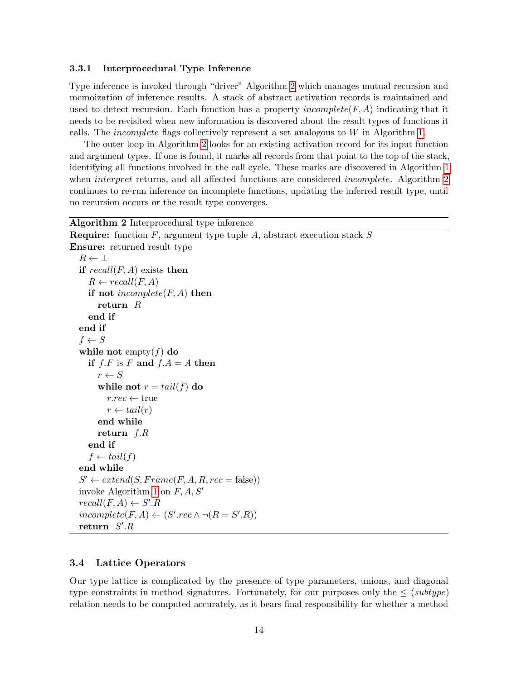#### 3.3.1 Interprocedural Type Inference

Type inference is invoked through "driver" Algorithm [2](#page-13-0) which manages mutual recursion and memoization of inference results. A stack of abstract activation records is maintained and used to detect recursion. Each function has a property *incomplete* $(F, A)$  indicating that it needs to be revisited when new information is discovered about the result types of functions it calls. The incomplete flags collectively represent a set analogous to W in Algorithm [1.](#page-12-0)

The outer loop in Algorithm [2](#page-13-0) looks for an existing activation record for its input function and argument types. If one is found, it marks all records from that point to the top of the stack, identifying all functions involved in the call cycle. These marks are discovered in Algorithm [1](#page-12-0) when *interpret* returns, and all affected functions are considered *incomplete*. Algorithm [2](#page-13-0) continues to re-run inference on incomplete functions, updating the inferred result type, until no recursion occurs or the result type converges.

#### <span id="page-13-0"></span>Algorithm 2 Interprocedural type inference

```
Require: function F, argument type tuple A, abstract execution stack SEnsure: returned result type
  R \leftarrow \perpif recall(F, A) exists then
     R \leftarrow \text{recall}(F, A)if not incomplete(F, A) then
       return R
     end if
  end if
  f \leftarrow Swhile not empty(f) do
     if f.F is F and f.A = A then
       r \leftarrow Swhile not r = tail(f) do
          r. rec \leftarrow truer \leftarrow tail(r)end while
       return f.Rend if
     f \leftarrow tail(f)end while
  S' \leftarrow extend(S, Frame(F, A, R, rec = false)) 1 on F, A, S'recall(F, A) \leftarrow S'.Rincomplete(F, A) \leftarrow (S'.rec \wedge \neg (R = S'.R))return S'.R
```
#### 3.4 Lattice Operators

Our type lattice is complicated by the presence of type parameters, unions, and diagonal type constraints in method signatures. Fortunately, for our purposes only the  $\leq$  (subtype) relation needs to be computed accurately, as it bears final responsibility for whether a method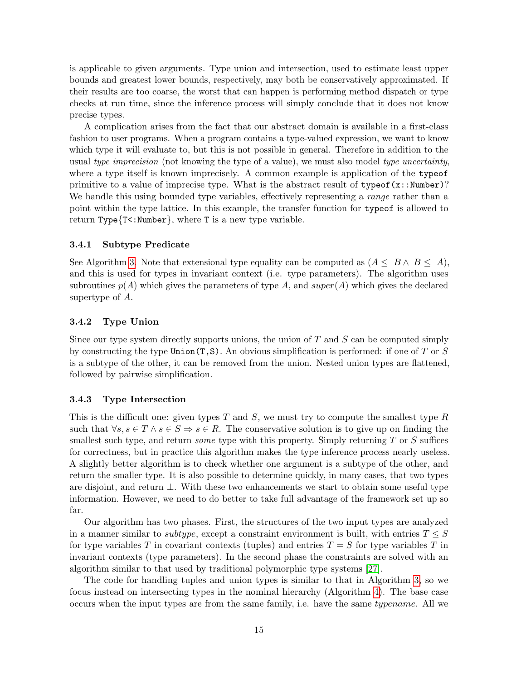is applicable to given arguments. Type union and intersection, used to estimate least upper bounds and greatest lower bounds, respectively, may both be conservatively approximated. If their results are too coarse, the worst that can happen is performing method dispatch or type checks at run time, since the inference process will simply conclude that it does not know precise types.

A complication arises from the fact that our abstract domain is available in a first-class fashion to user programs. When a program contains a type-valued expression, we want to know which type it will evaluate to, but this is not possible in general. Therefore in addition to the usual type imprecision (not knowing the type of a value), we must also model type uncertainty, where a type itself is known imprecisely. A common example is application of the typeof primitive to a value of imprecise type. What is the abstract result of  $typeof(x::Number)$ ? We handle this using bounded type variables, effectively representing a *range* rather than a point within the type lattice. In this example, the transfer function for typeof is allowed to return Type ${T<:\texttt{Number}}$ , where T is a new type variable.

#### 3.4.1 Subtype Predicate

See Algorithm [3.](#page-15-0) Note that extensional type equality can be computed as  $(A \leq B \land B \leq A)$ , and this is used for types in invariant context (i.e. type parameters). The algorithm uses subroutines  $p(A)$  which gives the parameters of type A, and super(A) which gives the declared supertype of A.

#### 3.4.2 Type Union

Since our type system directly supports unions, the union of  $T$  and  $S$  can be computed simply by constructing the type  $Union(T, S)$ . An obvious simplification is performed: if one of T or S is a subtype of the other, it can be removed from the union. Nested union types are flattened, followed by pairwise simplification.

#### 3.4.3 Type Intersection

This is the difficult one: given types T and S, we must try to compute the smallest type R such that  $\forall s, s \in T \land s \in S \Rightarrow s \in R$ . The conservative solution is to give up on finding the smallest such type, and return *some* type with this property. Simply returning  $T$  or  $S$  suffices for correctness, but in practice this algorithm makes the type inference process nearly useless. A slightly better algorithm is to check whether one argument is a subtype of the other, and return the smaller type. It is also possible to determine quickly, in many cases, that two types are disjoint, and return ⊥. With these two enhancements we start to obtain some useful type information. However, we need to do better to take full advantage of the framework set up so far.

Our algorithm has two phases. First, the structures of the two input types are analyzed in a manner similar to *subtype*, except a constraint environment is built, with entries  $T \leq S$ for type variables T in covariant contexts (tuples) and entries  $T = S$  for type variables T in invariant contexts (type parameters). In the second phase the constraints are solved with an algorithm similar to that used by traditional polymorphic type systems [\[27\]](#page-26-4).

The code for handling tuples and union types is similar to that in Algorithm [3,](#page-15-0) so we focus instead on intersecting types in the nominal hierarchy (Algorithm [4\)](#page-16-0). The base case occurs when the input types are from the same family, i.e. have the same typename. All we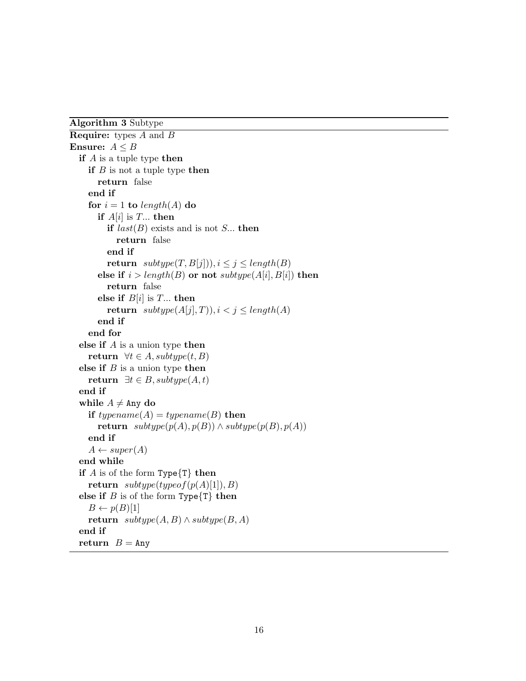<span id="page-15-0"></span>Algorithm 3 Subtype

```
Require: types A and B
Ensure: A \leq Bif A is a tuple type then
    if B is not a tuple type then
      return false
    end if
    for i = 1 to length(A) do
      if A[i] is T... then
         if last(B) exists and is not S... then
           return false
         end if
         return subtype(T, B[j]), i \leq j \leq length(B)else if i > length(B) or not subtype(A[i], B[i]) then
         return false
      else if B[i] is T... then
         return subtype(A[j], T)), i < j \le length(A)end if
    end for
  else if A is a union type then
    return \forall t \in A, subtype(t, B)else if B is a union type then
    return ∃t ∈ B, subtype(A, t)end if
  while A \neq \text{Any }do
    if typename(A) = typename(B) then
      return subtype(p(A), p(B)) \wedge subtype(p(B), p(A))end if
    A \leftarrow super(A)end while
  if A is of the form Type{T} then
    return subtype(typeof(p(A)[1]), B)else if B is of the form Type\{T\} then
    B \leftarrow p(B)[1]return subtype(A, B) \wedge subtype(B, A)end if
  return B = \text{Any}
```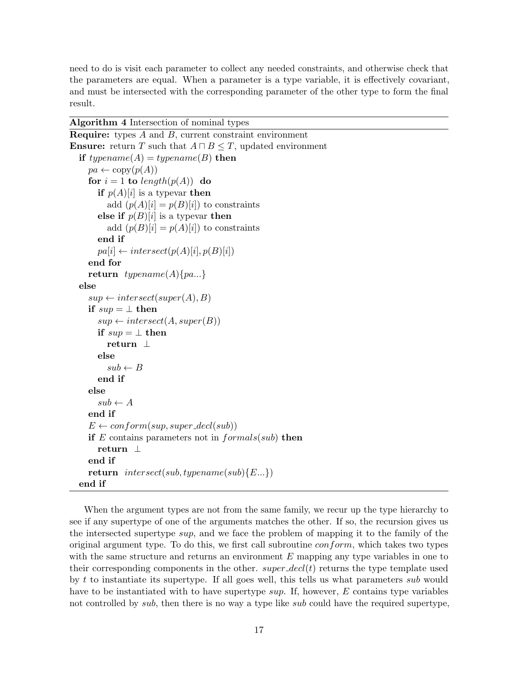need to do is visit each parameter to collect any needed constraints, and otherwise check that the parameters are equal. When a parameter is a type variable, it is effectively covariant, and must be intersected with the corresponding parameter of the other type to form the final result.

<span id="page-16-0"></span>

| Algorithm 4 Intersection of nominal types |  |  |  |
|-------------------------------------------|--|--|--|
|-------------------------------------------|--|--|--|

```
Require: types A and B, current constraint environment
Ensure: return T such that A \sqcap B \leq T, updated environment
  if typename(A) = typename(B) then
    pa \leftarrow copy(p(A))for i = 1 to length(p(A)) do
       if p(A)[i] is a typevar then
          add (p(A)[i] = p(B)[i]) to constraints
       else if p(B)[i] is a typevar then
          add (p(B)[i] = p(A)[i]) to constraints
       end if
       pa[i] \leftarrow intersect(p(A)[i], p(B)[i])end for
    return typename(A)\{pa...\}else
     sup \leftarrow intersect(super(A), B)if sup = \perp then
       sup \leftarrow intersect(A, super(B))if sup = \perp then
          return ⊥
       else
          sub \leftarrow Bend if
    else
       sub \leftarrow Aend if
     E \leftarrow \text{conform}(\text{sup}, \text{super\_decl}(\text{sub}))if E contains parameters not in formals(sub) then
       return ⊥
    end if
    return intersect(sub, typename(sub){E...})end if
```
When the argument types are not from the same family, we recur up the type hierarchy to see if any supertype of one of the arguments matches the other. If so, the recursion gives us the intersected supertype sup, and we face the problem of mapping it to the family of the original argument type. To do this, we first call subroutine conform, which takes two types with the same structure and returns an environment  $E$  mapping any type variables in one to their corresponding components in the other.  $super\_decl(t)$  returns the type template used by t to instantiate its supertype. If all goes well, this tells us what parameters sub would have to be instantiated with to have supertype sup. If, however, E contains type variables not controlled by *sub*, then there is no way a type like *sub* could have the required supertype,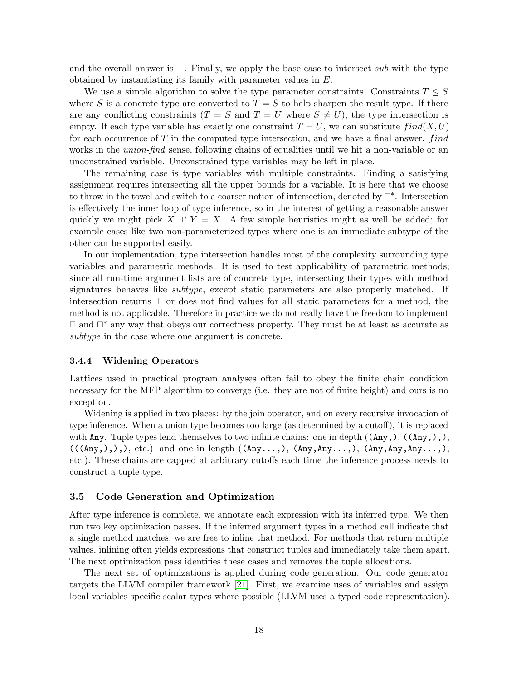and the overall answer is  $\bot$ . Finally, we apply the base case to intersect sub with the type obtained by instantiating its family with parameter values in E.

We use a simple algorithm to solve the type parameter constraints. Constraints  $T \leq S$ where S is a concrete type are converted to  $T = S$  to help sharpen the result type. If there are any conflicting constraints  $(T = S \text{ and } T = U \text{ where } S \neq U$ , the type intersection is empty. If each type variable has exactly one constraint  $T = U$ , we can substitute  $find(X, U)$ for each occurrence of  $T$  in the computed type intersection, and we have a final answer. *find* works in the *union-find* sense, following chains of equalities until we hit a non-variable or an unconstrained variable. Unconstrained type variables may be left in place.

The remaining case is type variables with multiple constraints. Finding a satisfying assignment requires intersecting all the upper bounds for a variable. It is here that we choose to throw in the towel and switch to a coarser notion of intersection, denoted by  $\Box^*$ . Intersection is effectively the inner loop of type inference, so in the interest of getting a reasonable answer quickly we might pick  $X \sqcap^* Y = X$ . A few simple heuristics might as well be added; for example cases like two non-parameterized types where one is an immediate subtype of the other can be supported easily.

In our implementation, type intersection handles most of the complexity surrounding type variables and parametric methods. It is used to test applicability of parametric methods; since all run-time argument lists are of concrete type, intersecting their types with method signatures behaves like subtype, except static parameters are also properly matched. If intersection returns ⊥ or does not find values for all static parameters for a method, the method is not applicable. Therefore in practice we do not really have the freedom to implement ⊓ and  $\Box^*$  any way that obeys our correctness property. They must be at least as accurate as subtype in the case where one argument is concrete.

#### 3.4.4 Widening Operators

Lattices used in practical program analyses often fail to obey the finite chain condition necessary for the MFP algorithm to converge (i.e. they are not of finite height) and ours is no exception.

Widening is applied in two places: by the join operator, and on every recursive invocation of type inference. When a union type becomes too large (as determined by a cutoff), it is replaced with Any. Tuple types lend themselves to two infinite chains: one in depth  $((\text{Any},), ((\text{Any},),),$  $((\text{(\texttt{Any},),),), \texttt{etc.})$  and one in length  $((\texttt{Any},\ldots), (\texttt{Any},\texttt{Any},\ldots), (\texttt{Any},\texttt{Any},\texttt{Any},\ldots))$ etc.). These chains are capped at arbitrary cutoffs each time the inference process needs to construct a tuple type.

#### 3.5 Code Generation and Optimization

After type inference is complete, we annotate each expression with its inferred type. We then run two key optimization passes. If the inferred argument types in a method call indicate that a single method matches, we are free to inline that method. For methods that return multiple values, inlining often yields expressions that construct tuples and immediately take them apart. The next optimization pass identifies these cases and removes the tuple allocations.

The next set of optimizations is applied during code generation. Our code generator targets the LLVM compiler framework [\[21\]](#page-25-2). First, we examine uses of variables and assign local variables specific scalar types where possible (LLVM uses a typed code representation).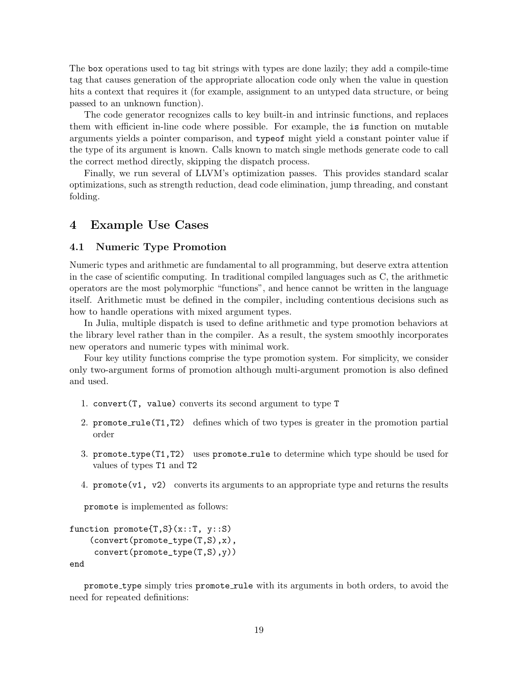The box operations used to tag bit strings with types are done lazily; they add a compile-time tag that causes generation of the appropriate allocation code only when the value in question hits a context that requires it (for example, assignment to an untyped data structure, or being passed to an unknown function).

The code generator recognizes calls to key built-in and intrinsic functions, and replaces them with efficient in-line code where possible. For example, the is function on mutable arguments yields a pointer comparison, and typeof might yield a constant pointer value if the type of its argument is known. Calls known to match single methods generate code to call the correct method directly, skipping the dispatch process.

Finally, we run several of LLVM's optimization passes. This provides standard scalar optimizations, such as strength reduction, dead code elimination, jump threading, and constant folding.

# 4 Example Use Cases

#### 4.1 Numeric Type Promotion

Numeric types and arithmetic are fundamental to all programming, but deserve extra attention in the case of scientific computing. In traditional compiled languages such as C, the arithmetic operators are the most polymorphic "functions", and hence cannot be written in the language itself. Arithmetic must be defined in the compiler, including contentious decisions such as how to handle operations with mixed argument types.

In Julia, multiple dispatch is used to define arithmetic and type promotion behaviors at the library level rather than in the compiler. As a result, the system smoothly incorporates new operators and numeric types with minimal work.

Four key utility functions comprise the type promotion system. For simplicity, we consider only two-argument forms of promotion although multi-argument promotion is also defined and used.

- 1. convert(T, value) converts its second argument to type T
- 2. promote rule(T1,T2) defines which of two types is greater in the promotion partial order
- 3. promote\_type(T1,T2) uses promote\_rule to determine which type should be used for values of types T1 and T2
- 4. promote(v1, v2) converts its arguments to an appropriate type and returns the results

promote is implemented as follows:

```
function promote{T, S}(x::T, y::S)(convert(promote_type(T,S),x),
     convert(promote_type(T,S),y))
end
```
promote\_type simply tries promote\_rule with its arguments in both orders, to avoid the need for repeated definitions: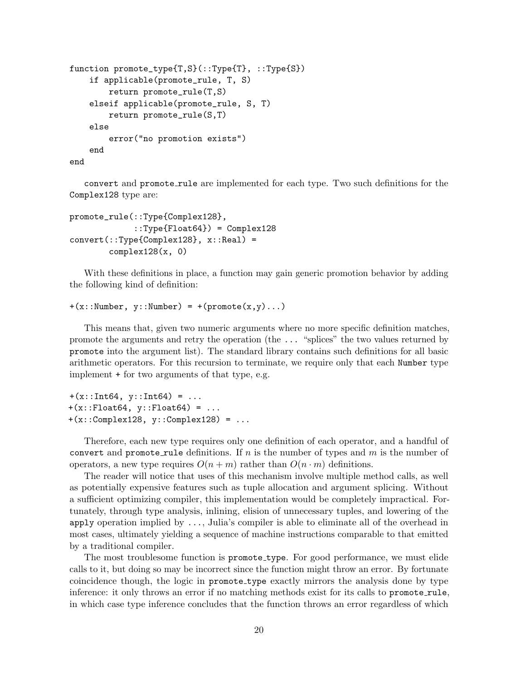```
function promote_type{T,S}(::Type{T}, ::Type{S})
    if applicable(promote_rule, T, S)
        return promote_rule(T,S)
    elseif applicable(promote_rule, S, T)
        return promote_rule(S,T)
    else
        error("no promotion exists")
    end
```
end

convert and promote rule are implemented for each type. Two such definitions for the Complex128 type are:

```
promote_rule(::Type{Complex128},
             ::Type{Float64}) = Complex128convert::Type{Complex128}, x::Real) =complex128(x, 0)
```
With these definitions in place, a function may gain generic promotion behavior by adding the following kind of definition:

```
+(x::Number, y::Number) = +(promote(x,y)...)
```
This means that, given two numeric arguments where no more specific definition matches, promote the arguments and retry the operation (the ... "splices" the two values returned by promote into the argument list). The standard library contains such definitions for all basic arithmetic operators. For this recursion to terminate, we require only that each Number type implement + for two arguments of that type, e.g.

```
+(x::Int64, y::Int64) = ...+(x::\text{float64}, y::\text{float64}) = ...+(x::Complex128, y::Complex128) = ...
```
Therefore, each new type requires only one definition of each operator, and a handful of convert and promote rule definitions. If n is the number of types and  $m$  is the number of operators, a new type requires  $O(n+m)$  rather than  $O(n \cdot m)$  definitions.

The reader will notice that uses of this mechanism involve multiple method calls, as well as potentially expensive features such as tuple allocation and argument splicing. Without a sufficient optimizing compiler, this implementation would be completely impractical. Fortunately, through type analysis, inlining, elision of unnecessary tuples, and lowering of the apply operation implied by ..., Julia's compiler is able to eliminate all of the overhead in most cases, ultimately yielding a sequence of machine instructions comparable to that emitted by a traditional compiler.

The most troublesome function is promote type. For good performance, we must elide calls to it, but doing so may be incorrect since the function might throw an error. By fortunate coincidence though, the logic in promote type exactly mirrors the analysis done by type inference: it only throws an error if no matching methods exist for its calls to promote rule, in which case type inference concludes that the function throws an error regardless of which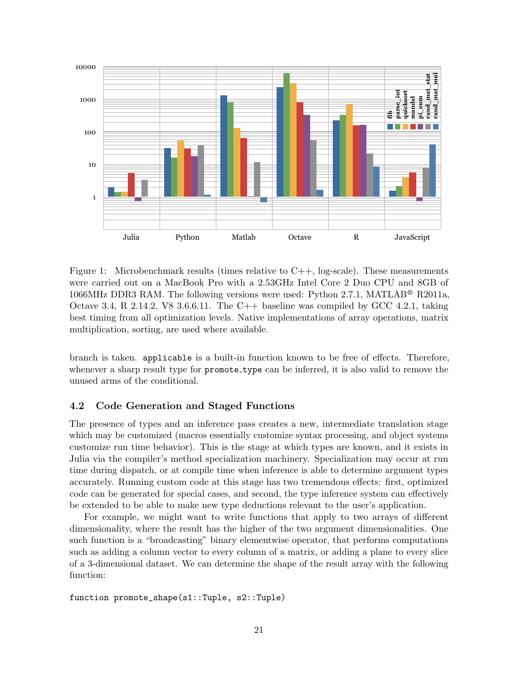

<span id="page-20-0"></span>Figure 1: Microbenchmark results (times relative to  $C++$ , log-scale). These measurements were carried out on a MacBook Pro with a 2.53GHz Intel Core 2 Duo CPU and 8GB of 1066MHz DDR3 RAM. The following versions were used: Python 2.7.1, MATLAB<sup>®</sup> R2011a, Octave 3.4, R 2.14.2, V8 3.6.6.11. The C++ baseline was compiled by GCC 4.2.1, taking best timing from all optimization levels. Native implementations of array operations, matrix multiplication, sorting, are used where available.

branch is taken. applicable is a built-in function known to be free of effects. Therefore, whenever a sharp result type for **promote\_type** can be inferred, it is also valid to remove the unused arms of the conditional.

### 4.2 Code Generation and Staged Functions

The presence of types and an inference pass creates a new, intermediate translation stage which may be customized (macros essentially customize syntax processing, and object systems customize run time behavior). This is the stage at which types are known, and it exists in Julia via the compiler's method specialization machinery. Specialization may occur at run time during dispatch, or at compile time when inference is able to determine argument types accurately. Running custom code at this stage has two tremendous effects: first, optimized code can be generated for special cases, and second, the type inference system can effectively be extended to be able to make new type deductions relevant to the user's application.

For example, we might want to write functions that apply to two arrays of different dimensionality, where the result has the higher of the two argument dimensionalities. One such function is a "broadcasting" binary elementwise operator, that performs computations such as adding a column vector to every column of a matrix, or adding a plane to every slice of a 3-dimensional dataset. We can determine the shape of the result array with the following function:

function promote\_shape(s1::Tuple, s2::Tuple)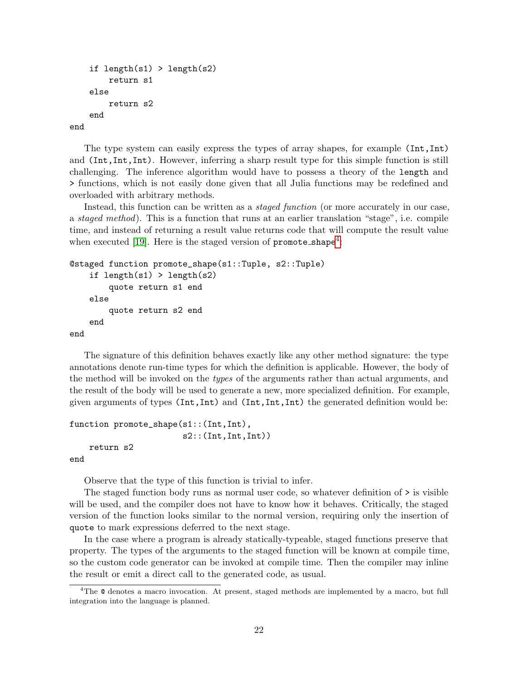```
if length(s1) > length(s2)
        return s1
    else
        return s2
    end
end
```
The type system can easily express the types of array shapes, for example (Int,Int) and (Int,Int,Int). However, inferring a sharp result type for this simple function is still challenging. The inference algorithm would have to possess a theory of the length and > functions, which is not easily done given that all Julia functions may be redefined and overloaded with arbitrary methods.

Instead, this function can be written as a *staged function* (or more accurately in our case, a staged method). This is a function that runs at an earlier translation "stage", i.e. compile time, and instead of returning a result value returns code that will compute the result value when executed [\[19\]](#page-25-11). Here is the staged version of  $\texttt{promote\_shape}^4$  $\texttt{promote\_shape}^4$ :

```
@staged function promote_shape(s1::Tuple, s2::Tuple)
    if length(s1) > length(s2)
        quote return s1 end
    else
        quote return s2 end
    end
end
```
The signature of this definition behaves exactly like any other method signature: the type annotations denote run-time types for which the definition is applicable. However, the body of the method will be invoked on the types of the arguments rather than actual arguments, and the result of the body will be used to generate a new, more specialized definition. For example, given arguments of types (Int,Int) and (Int,Int,Int) the generated definition would be:

```
function promote_shape(s1::(Int,Int),
                        s2::(Int,Int,Int))
    return s2
```
end

Observe that the type of this function is trivial to infer.

The staged function body runs as normal user code, so whatever definition of > is visible will be used, and the compiler does not have to know how it behaves. Critically, the staged version of the function looks similar to the normal version, requiring only the insertion of quote to mark expressions deferred to the next stage.

In the case where a program is already statically-typeable, staged functions preserve that property. The types of the arguments to the staged function will be known at compile time, so the custom code generator can be invoked at compile time. Then the compiler may inline the result or emit a direct call to the generated code, as usual.

<span id="page-21-0"></span><sup>4</sup>The @ denotes a macro invocation. At present, staged methods are implemented by a macro, but full integration into the language is planned.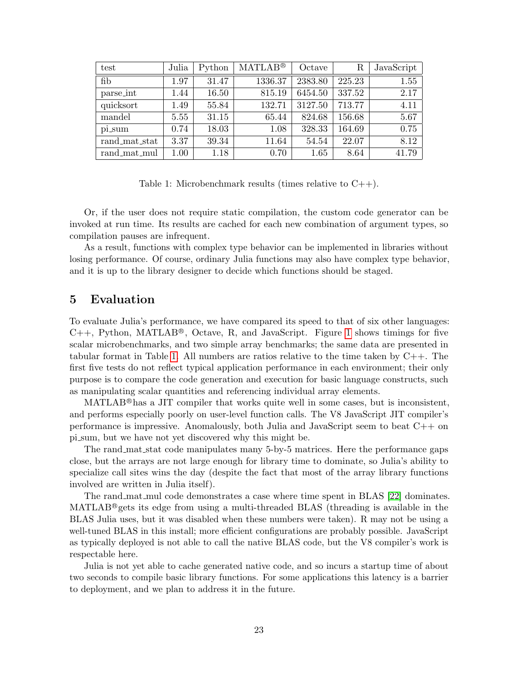| test          | Julia    | Python | <b>MATLAB®</b> | Octave  | R      | JavaScript |
|---------------|----------|--------|----------------|---------|--------|------------|
| fib           | 1.97     | 31.47  | 1336.37        | 2383.80 | 225.23 | 1.55       |
| parse_int     | 1.44     | 16.50  | 815.19         | 6454.50 | 337.52 | 2.17       |
| quicksort     | 1.49     | 55.84  | 132.71         | 3127.50 | 713.77 | 4.11       |
| mandel        | 5.55     | 31.15  | 65.44          | 824.68  | 156.68 | 5.67       |
| pi_sum        | 0.74     | 18.03  | 1.08           | 328.33  | 164.69 | 0.75       |
| rand_mat_stat | 3.37     | 39.34  | 11.64          | 54.54   | 22.07  | 8.12       |
| rand_mat_mul  | $1.00\,$ | 1.18   | 0.70           | 1.65    | 8.64   | 41.79      |

<span id="page-22-0"></span>Table 1: Microbenchmark results (times relative to  $C++$ ).

Or, if the user does not require static compilation, the custom code generator can be invoked at run time. Its results are cached for each new combination of argument types, so compilation pauses are infrequent.

As a result, functions with complex type behavior can be implemented in libraries without losing performance. Of course, ordinary Julia functions may also have complex type behavior, and it is up to the library designer to decide which functions should be staged.

# 5 Evaluation

To evaluate Julia's performance, we have compared its speed to that of six other languages:  $C_{++}$ , Python, MATLAB<sup>®</sup>, Octave, R, and JavaScript. Figure [1](#page-20-0) shows timings for five scalar microbenchmarks, and two simple array benchmarks; the same data are presented in tabular format in Table [1.](#page-22-0) All numbers are ratios relative to the time taken by  $C_{++}$ . The first five tests do not reflect typical application performance in each environment; their only purpose is to compare the code generation and execution for basic language constructs, such as manipulating scalar quantities and referencing individual array elements.

 $MATLAB^@$  has a JIT compiler that works quite well in some cases, but is inconsistent, and performs especially poorly on user-level function calls. The V8 JavaScript JIT compiler's performance is impressive. Anomalously, both Julia and JavaScript seem to beat C++ on pi sum, but we have not yet discovered why this might be.

The rand mat stat code manipulates many 5-by-5 matrices. Here the performance gaps close, but the arrays are not large enough for library time to dominate, so Julia's ability to specialize call sites wins the day (despite the fact that most of the array library functions involved are written in Julia itself).

The rand mat mul code demonstrates a case where time spent in BLAS [\[22\]](#page-25-12) dominates. MATLAB <sup>R</sup> gets its edge from using a multi-threaded BLAS (threading is available in the BLAS Julia uses, but it was disabled when these numbers were taken). R may not be using a well-tuned BLAS in this install; more efficient configurations are probably possible. JavaScript as typically deployed is not able to call the native BLAS code, but the V8 compiler's work is respectable here.

Julia is not yet able to cache generated native code, and so incurs a startup time of about two seconds to compile basic library functions. For some applications this latency is a barrier to deployment, and we plan to address it in the future.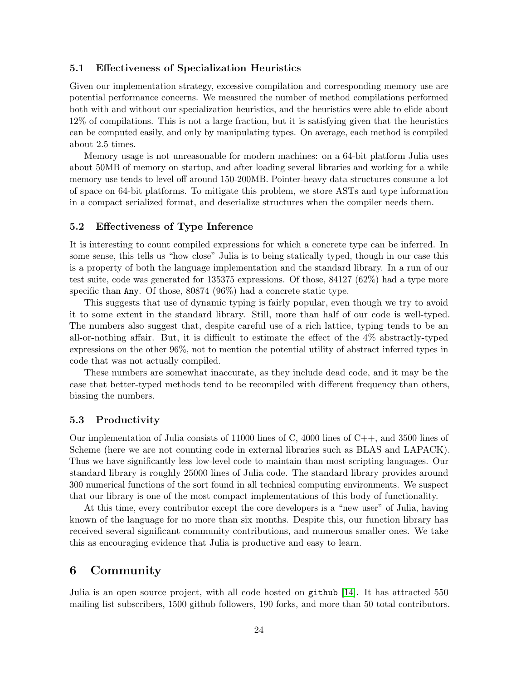#### 5.1 Effectiveness of Specialization Heuristics

Given our implementation strategy, excessive compilation and corresponding memory use are potential performance concerns. We measured the number of method compilations performed both with and without our specialization heuristics, and the heuristics were able to elide about 12% of compilations. This is not a large fraction, but it is satisfying given that the heuristics can be computed easily, and only by manipulating types. On average, each method is compiled about 2.5 times.

Memory usage is not unreasonable for modern machines: on a 64-bit platform Julia uses about 50MB of memory on startup, and after loading several libraries and working for a while memory use tends to level off around 150-200MB. Pointer-heavy data structures consume a lot of space on 64-bit platforms. To mitigate this problem, we store ASTs and type information in a compact serialized format, and deserialize structures when the compiler needs them.

### 5.2 Effectiveness of Type Inference

It is interesting to count compiled expressions for which a concrete type can be inferred. In some sense, this tells us "how close" Julia is to being statically typed, though in our case this is a property of both the language implementation and the standard library. In a run of our test suite, code was generated for 135375 expressions. Of those, 84127 (62%) had a type more specific than Any. Of those, 80874 (96%) had a concrete static type.

This suggests that use of dynamic typing is fairly popular, even though we try to avoid it to some extent in the standard library. Still, more than half of our code is well-typed. The numbers also suggest that, despite careful use of a rich lattice, typing tends to be an all-or-nothing affair. But, it is difficult to estimate the effect of the 4% abstractly-typed expressions on the other 96%, not to mention the potential utility of abstract inferred types in code that was not actually compiled.

These numbers are somewhat inaccurate, as they include dead code, and it may be the case that better-typed methods tend to be recompiled with different frequency than others, biasing the numbers.

#### 5.3 Productivity

Our implementation of Julia consists of  $11000$  lines of C,  $4000$  lines of C++, and 3500 lines of Scheme (here we are not counting code in external libraries such as BLAS and LAPACK). Thus we have significantly less low-level code to maintain than most scripting languages. Our standard library is roughly 25000 lines of Julia code. The standard library provides around 300 numerical functions of the sort found in all technical computing environments. We suspect that our library is one of the most compact implementations of this body of functionality.

At this time, every contributor except the core developers is a "new user" of Julia, having known of the language for no more than six months. Despite this, our function library has received several significant community contributions, and numerous smaller ones. We take this as encouraging evidence that Julia is productive and easy to learn.

# 6 Community

Julia is an open source project, with all code hosted on github [\[14\]](#page-25-13). It has attracted 550 mailing list subscribers, 1500 github followers, 190 forks, and more than 50 total contributors.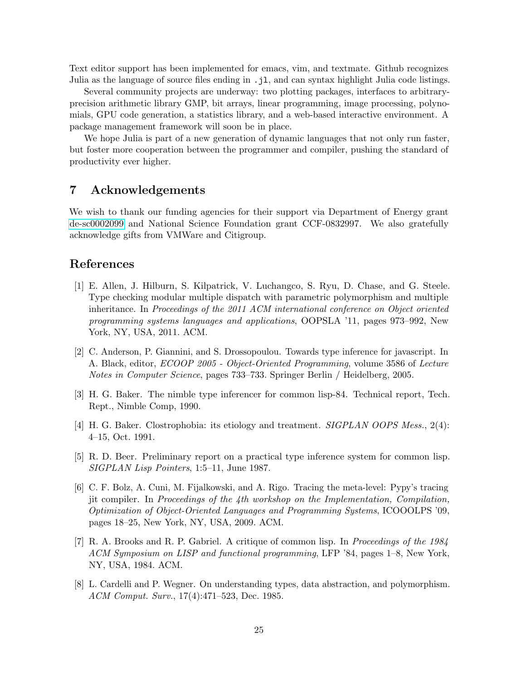Text editor support has been implemented for emacs, vim, and textmate. Github recognizes Julia as the language of source files ending in .jl, and can syntax highlight Julia code listings.

Several community projects are underway: two plotting packages, interfaces to arbitraryprecision arithmetic library GMP, bit arrays, linear programming, image processing, polynomials, GPU code generation, a statistics library, and a web-based interactive environment. A package management framework will soon be in place.

We hope Julia is part of a new generation of dynamic languages that not only run faster. but foster more cooperation between the programmer and compiler, pushing the standard of productivity ever higher.

# 7 Acknowledgements

We wish to thank our funding agencies for their support via Department of Energy grant [de-sc0002099](http://arxiv.org/abs/de-sc/0002099) and National Science Foundation grant CCF-0832997. We also gratefully acknowledge gifts from VMWare and Citigroup.

# References

- <span id="page-24-5"></span>[1] E. Allen, J. Hilburn, S. Kilpatrick, V. Luchangco, S. Ryu, D. Chase, and G. Steele. Type checking modular multiple dispatch with parametric polymorphism and multiple inheritance. In Proceedings of the 2011 ACM international conference on Object oriented programming systems languages and applications, OOPSLA '11, pages 973–992, New York, NY, USA, 2011. ACM.
- <span id="page-24-7"></span>[2] C. Anderson, P. Giannini, and S. Drossopoulou. Towards type inference for javascript. In A. Black, editor, ECOOP 2005 - Object-Oriented Programming, volume 3586 of Lecture Notes in Computer Science, pages 733–733. Springer Berlin / Heidelberg, 2005.
- <span id="page-24-1"></span>[3] H. G. Baker. The nimble type inferencer for common lisp-84. Technical report, Tech. Rept., Nimble Comp, 1990.
- <span id="page-24-3"></span>[4] H. G. Baker. Clostrophobia: its etiology and treatment. *SIGPLAN OOPS Mess.*, 2(4): 4–15, Oct. 1991.
- <span id="page-24-6"></span>[5] R. D. Beer. Preliminary report on a practical type inference system for common lisp. SIGPLAN Lisp Pointers, 1:5–11, June 1987.
- <span id="page-24-0"></span>[6] C. F. Bolz, A. Cuni, M. Fijalkowski, and A. Rigo. Tracing the meta-level: Pypy's tracing jit compiler. In Proceedings of the 4th workshop on the Implementation, Compilation, Optimization of Object-Oriented Languages and Programming Systems, ICOOOLPS '09, pages 18–25, New York, NY, USA, 2009. ACM.
- <span id="page-24-2"></span>[7] R. A. Brooks and R. P. Gabriel. A critique of common lisp. In Proceedings of the 1984 ACM Symposium on LISP and functional programming, LFP '84, pages 1–8, New York, NY, USA, 1984. ACM.
- <span id="page-24-4"></span>[8] L. Cardelli and P. Wegner. On understanding types, data abstraction, and polymorphism. ACM Comput. Surv., 17(4):471–523, Dec. 1985.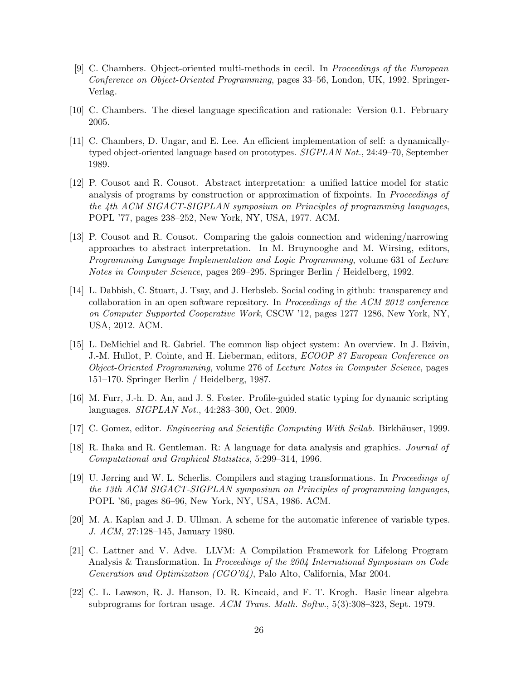- <span id="page-25-6"></span>[9] C. Chambers. Object-oriented multi-methods in cecil. In Proceedings of the European Conference on Object-Oriented Programming, pages 33–56, London, UK, 1992. Springer-Verlag.
- <span id="page-25-5"></span>[10] C. Chambers. The diesel language specification and rationale: Version 0.1. February 2005.
- <span id="page-25-8"></span>[11] C. Chambers, D. Ungar, and E. Lee. An efficient implementation of self: a dynamicallytyped object-oriented language based on prototypes. SIGPLAN Not., 24:49–70, September 1989.
- <span id="page-25-9"></span>[12] P. Cousot and R. Cousot. Abstract interpretation: a unified lattice model for static analysis of programs by construction or approximation of fixpoints. In Proceedings of the 4th ACM SIGACT-SIGPLAN symposium on Principles of programming languages, POPL '77, pages 238–252, New York, NY, USA, 1977. ACM.
- <span id="page-25-10"></span>[13] P. Cousot and R. Cousot. Comparing the galois connection and widening/narrowing approaches to abstract interpretation. In M. Bruynooghe and M. Wirsing, editors, Programming Language Implementation and Logic Programming, volume 631 of Lecture Notes in Computer Science, pages 269–295. Springer Berlin / Heidelberg, 1992.
- <span id="page-25-13"></span>[14] L. Dabbish, C. Stuart, J. Tsay, and J. Herbsleb. Social coding in github: transparency and collaboration in an open software repository. In Proceedings of the ACM 2012 conference on Computer Supported Cooperative Work, CSCW '12, pages 1277–1286, New York, NY, USA, 2012. ACM.
- <span id="page-25-4"></span>[15] L. DeMichiel and R. Gabriel. The common lisp object system: An overview. In J. Bzivin, J.-M. Hullot, P. Cointe, and H. Lieberman, editors, ECOOP 87 European Conference on Object-Oriented Programming, volume 276 of Lecture Notes in Computer Science, pages 151–170. Springer Berlin / Heidelberg, 1987.
- <span id="page-25-3"></span>[16] M. Furr, J.-h. D. An, and J. S. Foster. Profile-guided static typing for dynamic scripting languages. SIGPLAN Not., 44:283–300, Oct. 2009.
- <span id="page-25-1"></span>[17] C. Gomez, editor. *Engineering and Scientific Computing With Scilab.* Birkhäuser, 1999.
- <span id="page-25-0"></span>[18] R. Ihaka and R. Gentleman. R: A language for data analysis and graphics. Journal of Computational and Graphical Statistics, 5:299–314, 1996.
- <span id="page-25-11"></span>[19] U. Jørring and W. L. Scherlis. Compilers and staging transformations. In Proceedings of the 13th ACM SIGACT-SIGPLAN symposium on Principles of programming languages, POPL '86, pages 86–96, New York, NY, USA, 1986. ACM.
- <span id="page-25-7"></span>[20] M. A. Kaplan and J. D. Ullman. A scheme for the automatic inference of variable types. J. ACM, 27:128–145, January 1980.
- <span id="page-25-2"></span>[21] C. Lattner and V. Adve. LLVM: A Compilation Framework for Lifelong Program Analysis & Transformation. In Proceedings of the 2004 International Symposium on Code Generation and Optimization (CGO'04), Palo Alto, California, Mar 2004.
- <span id="page-25-12"></span>[22] C. L. Lawson, R. J. Hanson, D. R. Kincaid, and F. T. Krogh. Basic linear algebra subprograms for fortran usage. ACM Trans. Math. Softw., 5(3):308–323, Sept. 1979.